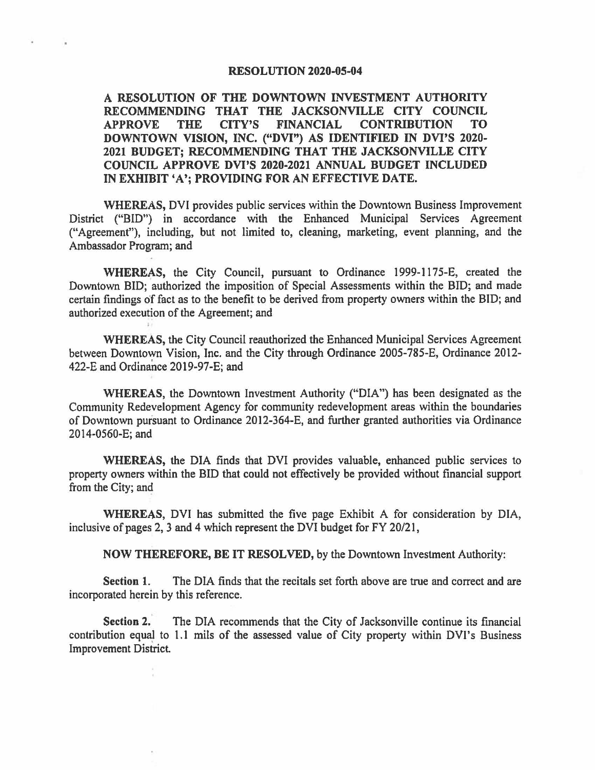#### **RESOLUTION 2020-05-04**

## **A RESOLUTION OF THE DOWNTOWN INVESTMENT AUTHORITY RECOMMENDING THAT THE JACKSONVILLE CITY COUNCIL APPROVE THE CITY'S FINANCIAL CONTRIBUTION TO DOWNTOWN VISION, INC. ("DVI") AS IDENTIFIED IN DVI'S 2020- 2021 BUDGET; RECOMMENDING THAT THE JACKSONVILLE CITY COUNCIL APPROVE DVl'S 2020-2021 ANNUAL BUDGET INCLUDED IN EXHIBIT 'A'; PROVIDING FOR AN EFFECTIVE DATE.**

**WHEREAS,** DVI provides public services within the Downtown Business Improvement District ("BID") in accordance with the Enhanced Municipal Services Agreement ("Agreement"), including, but not limited to, cleaning, marketing, event planning, and the Ambassador Program; and

**WHEREAS,** the City Council, pursuant to Ordinance 1999-1175-E, created the Downtown BID; authorized the imposition of Special Assessments within the BID; and made certain findings of fact as to the benefit to be derived from property owners within the BID; and authorized execution of the Agreement; and

**WHEREAS,** the City Council reauthorized the Enhanced Municipal Services Agreement between Downtown Vision, Inc. and the City through Ordinance 2005-785-E, Ordinance 2012- 422-E and Ordinance 2019-97-E; and

**WHEREAS,** the Downtown Investment Authority ("DIA") has been designated as the Community Redevelopment Agency for community redevelopment areas within the boundaries of Downtown pursuant to Ordinance 2012-364-E, and further granted authorities via Ordinance 2014-0560-E; and

**WHEREAS,** the DIA finds that DVI provides valuable, enhanced public services to property owners within the BID that could not effectively be provided without financial support from the City; and

WHEREAS, DVI has submitted the five page Exhibit A for consideration by DIA, inclusive of pages 2, 3 and 4 which represent the DVI budget for FY 20/21,

**NOW THEREFORE, BE IT RESOLVED,** by the Downtown Investment Authority:

**Section 1.** The DIA finds that the recitals set forth above are true and correct and are incorporated herein by this reference.

**Section 2.** The DIA recommends that the City of Jacksonville continue its financial contribution equal to 1.1 mils of the assessed value of City property within DVI's Business Improvement District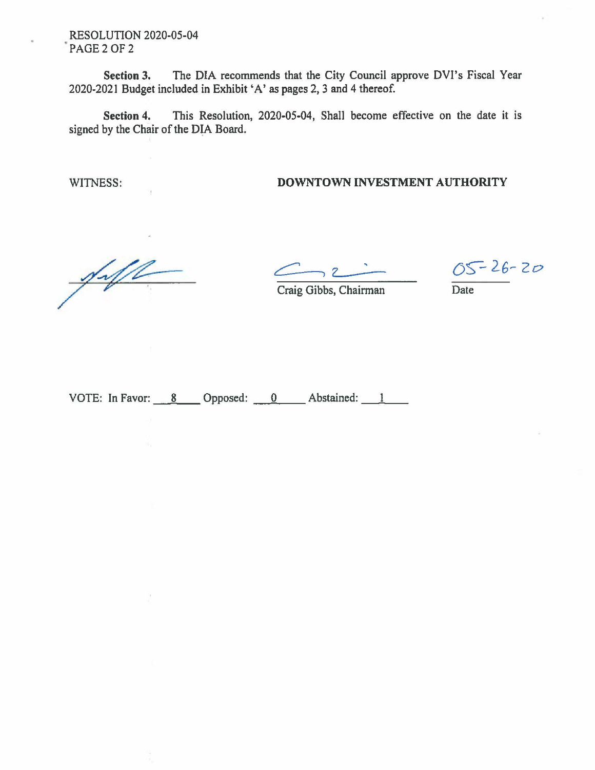RESOLUTION 2020-05-04 PAGE 2 OF 2

**Section 3.** The DIA recommends that the City Council approve DVI's Fiscal Year 2020-2021 Budget included in Exhibit 'A' as pages 2, 3 and 4 thereof.

**Section 4.** This Resolution, 2020-05-04, Shall become effective on the date it is signed by the Chair of the DIA Board.

### WITNESS: **DOWNTOWN INVESTMENT AUTHORITY**

 $\sqrt{\sqrt{2}}$ 

 $C:2$ 

 $05 - 26 - 20$ 

Craig Gibbs, Chairman Date

VOTE: In Favor: 8 \_\_\_ Opposed: <u>0</u> \_\_ Abstained: 1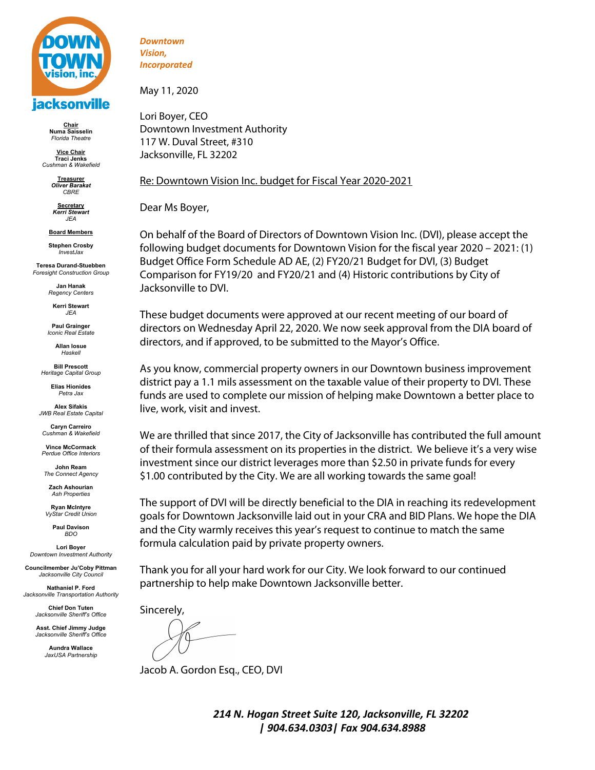

**Chair Numa Saisselin** *Florida Theatre*

**Vice Chair Traci Jenks** *Cushman & Wakefield*

> **Treasurer** *Oliver Barakat CBRE*

**Secretary** *Kerri Stewart JEA*

**Board Members Stephen Crosby** *InvestJax*

**Teresa Durand-Stuebben** *Foresight Construction Group*

> **Jan Hanak** *Regency Centers*

**Kerri Stewart** *JEA*

**Paul Grainger** *Iconic Real Estate*

> **Allan Iosue** *Haskell*

**Bill Prescott** *Heritage Capital Group*

> **Elias Hionides** *Petra Jax*

**Alex Sifakis** *JWB Real Estate Capital*

**Caryn Carreiro** *Cushman & Wakefield*

**Vince McCormack** *Perdue Office Interiors*

**John Ream** *The Connect Agency*

**Zach Ashourian** *Ash Properties*

**Ryan McIntyre** *VyStar Credit Union*

> **Paul Davison** *BDO*

**Lori Boyer** *Downtown Investment Authority*

**Councilmember Ju'Coby Pittman** *Jacksonville City Council*

**Nathaniel P. Ford** *Jacksonville Transportation Authority*

> **Chief Don Tuten** *Jacksonville Sheriff's Office*

**Asst. Chief Jimmy Judge** *Jacksonville Sheriff's Office*

> **Aundra Wallace** *JaxUSA Partnership*

*Downtown Vision, Incorporated*

May 11, 2020

Lori Boyer, CEO Downtown Investment Authority 117 W. Duval Street, #310 Jacksonville, FL 32202

### Re: Downtown Vision Inc. budget for Fiscal Year 2020-2021

Dear Ms Boyer,

On behalf of the Board of Directors of Downtown Vision Inc. (DVI), please accept the following budget documents for Downtown Vision for the fiscal year 2020 – 2021: (1) Budget Office Form Schedule AD AE, (2) FY20/21 Budget for DVI, (3) Budget Comparison for FY19/20 and FY20/21 and (4) Historic contributions by City of Jacksonville to DVI.

These budget documents were approved at our recent meeting of our board of directors on Wednesday April 22, 2020. We now seek approval from the DIA board of directors, and if approved, to be submitted to the Mayor's Office.

As you know, commercial property owners in our Downtown business improvement district pay a 1.1 mils assessment on the taxable value of their property to DVI. These funds are used to complete our mission of helping make Downtown a better place to live, work, visit and invest.

We are thrilled that since 2017, the City of Jacksonville has contributed the full amount of their formula assessment on its properties in the district. We believe it's a very wise investment since our district leverages more than \$2.50 in private funds for every \$1.00 contributed by the City. We are all working towards the same goal!

The support of DVI will be directly beneficial to the DIA in reaching its redevelopment goals for Downtown Jacksonville laid out in your CRA and BID Plans. We hope the DIA and the City warmly receives this year's request to continue to match the same formula calculation paid by private property owners.

Thank you for all your hard work for our City. We look forward to our continued partnership to help make Downtown Jacksonville better.

Sincerely,

Jacob A. Gordon Esq., CEO, DVI

*214 N. Hogan Street Suite 120, Jacksonville, FL 32202 | 904.634.0303| Fax 904.634.8988*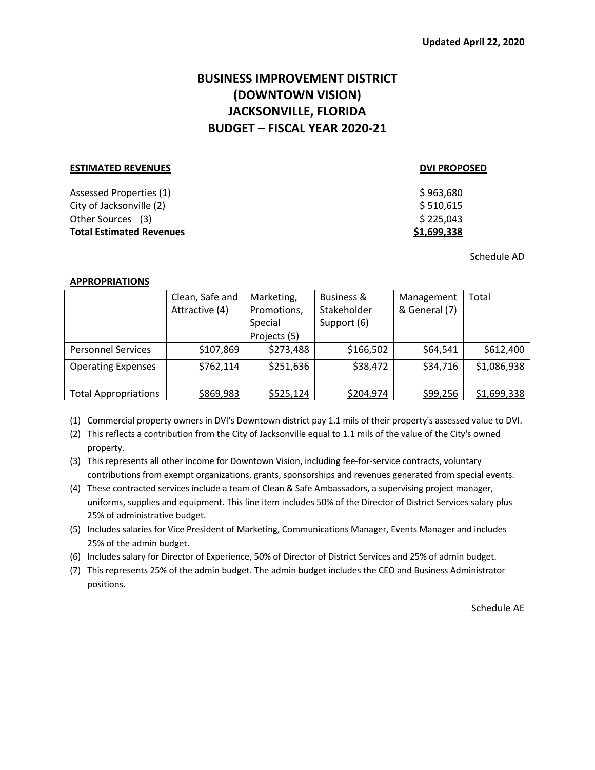# **BUSINESS IMPROVEMENT DISTRICT (DOWNTOWN VISION) JACKSONVILLE, FLORIDA BUDGET – FISCAL YEAR 2020-21**

| <b>ESTIMATED REVENUES</b>       | <b>DVI PROPOSED</b> |
|---------------------------------|---------------------|
| Assessed Properties (1)         | \$963,680           |
| City of Jacksonville (2)        | \$510,615           |
| Other Sources (3)               | \$225,043           |
| <b>Total Estimated Revenues</b> | \$1,699,338         |

Schedule AD

### **APPROPRIATIONS**

|                             | Clean, Safe and<br>Attractive (4) | Marketing,<br>Promotions,<br>Special<br>Projects (5) | <b>Business &amp;</b><br>Stakeholder<br>Support (6) | Management<br>& General (7) | Total       |
|-----------------------------|-----------------------------------|------------------------------------------------------|-----------------------------------------------------|-----------------------------|-------------|
| <b>Personnel Services</b>   | \$107,869                         | \$273,488                                            | \$166,502                                           | \$64,541                    | \$612,400   |
| <b>Operating Expenses</b>   | \$762,114                         | \$251,636                                            | \$38,472                                            | \$34,716                    | \$1,086,938 |
|                             |                                   |                                                      |                                                     |                             |             |
| <b>Total Appropriations</b> | \$869,983                         | \$525,124                                            | \$204,974                                           | \$99,256                    | \$1,699,338 |

(1) Commercial property owners in DVI's Downtown district pay 1.1 mils of their property's assessed value to DVI.

(2) This reflects a contribution from the City of Jacksonville equal to 1.1 mils of the value of the City's owned property.

(3) This represents all other income for Downtown Vision, including fee-for-service contracts, voluntary contributions from exempt organizations, grants, sponsorships and revenues generated from special events.

(4) These contracted services include a team of Clean & Safe Ambassadors, a supervising project manager, uniforms, supplies and equipment. This line item includes 50% of the Director of District Services salary plus 25% of administrative budget.

(5) Includes salaries for Vice President of Marketing, Communications Manager, Events Manager and includes 25% of the admin budget.

(6) Includes salary for Director of Experience, 50% of Director of District Services and 25% of admin budget.

(7) This represents 25% of the admin budget. The admin budget includes the CEO and Business Administrator positions.

Schedule AE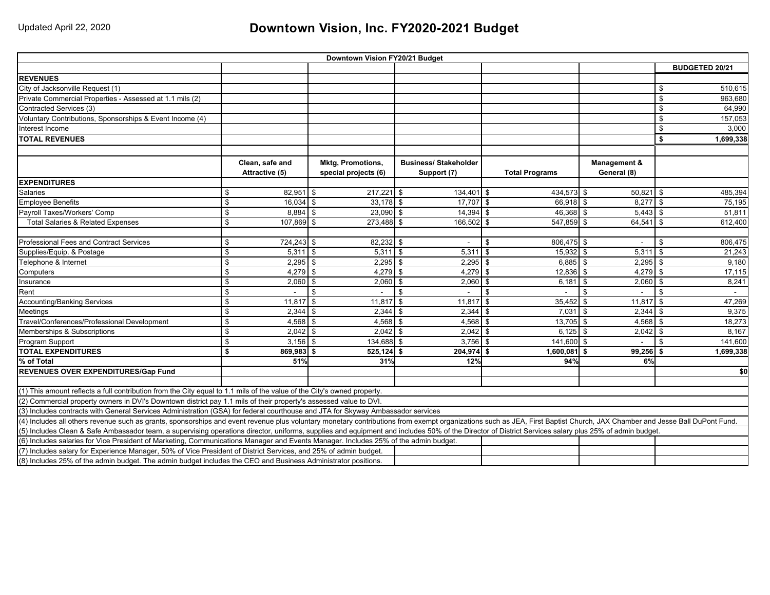# Updated April 22, 2020 **Downtown Vision, Inc. FY2020-2021 Budget**

| Downtown Vision FY20/21 Budget                                                                                                                                                                                            |    |                 |    |                          |                             |              |                |                       |                |             |                |                       |
|---------------------------------------------------------------------------------------------------------------------------------------------------------------------------------------------------------------------------|----|-----------------|----|--------------------------|-----------------------------|--------------|----------------|-----------------------|----------------|-------------|----------------|-----------------------|
|                                                                                                                                                                                                                           |    |                 |    |                          |                             |              |                |                       |                |             |                | <b>BUDGETED 20/21</b> |
| <b>REVENUES</b>                                                                                                                                                                                                           |    |                 |    |                          |                             |              |                |                       |                |             |                |                       |
| City of Jacksonville Request (1)                                                                                                                                                                                          |    |                 |    |                          |                             |              |                |                       |                |             | \$             | 510,615               |
| Private Commercial Properties - Assessed at 1.1 mils (2)                                                                                                                                                                  |    |                 |    |                          |                             |              |                |                       |                |             | \$             | 963,680               |
| Contracted Services (3)                                                                                                                                                                                                   |    |                 |    |                          |                             |              |                |                       |                |             | \$             | 64,990                |
| Voluntary Contributions, Sponsorships & Event Income (4)                                                                                                                                                                  |    |                 |    |                          |                             |              |                |                       |                |             | \$             | 157,053               |
| Interest Income                                                                                                                                                                                                           |    |                 |    |                          |                             |              |                |                       |                |             | \$             | 3.000                 |
| <b>TOTAL REVENUES</b>                                                                                                                                                                                                     |    |                 |    |                          |                             |              |                |                       |                |             | \$             | 1,699,338             |
|                                                                                                                                                                                                                           |    |                 |    |                          |                             |              |                |                       |                |             |                |                       |
|                                                                                                                                                                                                                           |    | Clean, safe and |    | <b>Mktg, Promotions,</b> | <b>Business/Stakeholder</b> |              |                |                       | Management &   |             |                |                       |
|                                                                                                                                                                                                                           |    | Attractive (5)  |    | special projects (6)     |                             | Support (7)  |                | <b>Total Programs</b> |                | General (8) |                |                       |
| <b>EXPENDITURES</b>                                                                                                                                                                                                       |    |                 |    |                          |                             |              |                |                       |                |             |                |                       |
| Salaries                                                                                                                                                                                                                  | \$ | $82,951$ \$     |    | $217,221$ \$             |                             | 134,401 \$   |                | 434,573 \$            |                | $50,821$ \$ |                | 485,394               |
| <b>Employee Benefits</b>                                                                                                                                                                                                  | \$ | $16,034$ \$     |    | $33.178$ \$              |                             | $17,707$ \$  |                | 66.918 \$             |                | $8,277$ \$  |                | 75,195                |
| Payroll Taxes/Workers' Comp                                                                                                                                                                                               | \$ | $8.884$ \$      |    | $23,090$ \$              |                             | $14,394$ \$  |                | $46,368$ \$           |                | $5,443$ \$  |                | 51,811                |
| <b>Total Salaries &amp; Related Expenses</b>                                                                                                                                                                              | \$ | 107,869 \$      |    | 273,488 \$               |                             | $166,502$ \$ |                | 547,859 \$            |                | 64,541      | l \$           | 612,400               |
|                                                                                                                                                                                                                           |    |                 |    |                          |                             |              |                |                       |                |             |                |                       |
| Professional Fees and Contract Services                                                                                                                                                                                   | \$ | 724,243 \$      |    | 82,232 \$                |                             | $\sim$       | \$             | 806,475 \$            |                |             | \$             | 806,475               |
| Supplies/Equip. & Postage                                                                                                                                                                                                 | \$ | $5,311$ \$      |    | $5,311$ \$               |                             | 5,311        | \$             | $15,932$ \$           |                | 5,311       | l \$           | 21,243                |
| Telephone & Internet                                                                                                                                                                                                      | \$ | $2,295$ \$      |    | 2,295                    | l \$                        | $2,295$ \$   |                | $6.885$ \$            |                | $2,295$ \$  |                | 9,180                 |
| Computers                                                                                                                                                                                                                 | \$ | $4,279$ \$      |    | 4,279                    | $\mathbf{\hat{s}}$          | $4,279$ \$   |                | $12,836$ \$           |                | $4,279$ \$  |                | 17,115                |
| Insurance                                                                                                                                                                                                                 | \$ | $2,060$ \$      |    | 2,060                    | $\sqrt{3}$                  | $2,060$ \$   |                | 6,181                 | $\sqrt{3}$     | $2,060$ \$  |                | 8,241                 |
| Rent                                                                                                                                                                                                                      | \$ |                 | Ŝ. |                          | $\mathbf{s}$                | $\sim$       | $\mathfrak{L}$ |                       | $\mathfrak{L}$ |             | $\mathfrak{L}$ | $\sim$                |
| <b>Accounting/Banking Services</b>                                                                                                                                                                                        | \$ | $11,817$ \$     |    | 11,817                   | $\mathbf{\hat{s}}$          | 11,817       | l \$           | $35,452$ \$           |                | $11,817$ \$ |                | 47,269                |
| Meetings                                                                                                                                                                                                                  | \$ | $2,344$ \$      |    | $2.344$ \$               |                             | $2,344$ \$   |                | $7,031$ \$            |                | $2,344$ \$  |                | 9,375                 |
| Travel/Conferences/Professional Development                                                                                                                                                                               | \$ | $4,568$ \$      |    | 4,568                    | <b>S</b>                    | $4,568$ \$   |                | $13,705$ \$           |                | $4,568$ \$  |                | 18,273                |
| Memberships & Subscriptions                                                                                                                                                                                               | \$ | $2,042$ \$      |    | 2.042                    | l \$                        | $2,042$ \$   |                | $6,125$ \$            |                | $2,042$ \$  |                | 8.167                 |
| Program Support                                                                                                                                                                                                           | \$ | $3,156$ \$      |    | 134,688 \$               |                             | $3.756$ \$   |                | 141.600 \$            |                |             | \$             | 141,600               |
| <b>TOTAL EXPENDITURES</b>                                                                                                                                                                                                 | \$ | 869,983 \$      |    | $525,124$ \$             |                             | $204,974$ \$ |                | $1,600,081$ \$        |                | 99,256      | -\$            | 1,699,338             |
| % of Total                                                                                                                                                                                                                |    | 51%             |    | 31%                      |                             | 12%          |                | 94%                   |                | 6%          |                |                       |
| REVENUES OVER EXPENDITURES/Gap Fund                                                                                                                                                                                       |    |                 |    |                          |                             |              |                |                       |                |             |                | \$0                   |
|                                                                                                                                                                                                                           |    |                 |    |                          |                             |              |                |                       |                |             |                |                       |
| (1) This amount reflects a full contribution from the City equal to 1.1 mils of the value of the City's owned property.                                                                                                   |    |                 |    |                          |                             |              |                |                       |                |             |                |                       |
| (2) Commercial property owners in DVI's Downtown district pay 1.1 mils of their property's assessed value to DVI.                                                                                                         |    |                 |    |                          |                             |              |                |                       |                |             |                |                       |
| (3) Includes contracts with General Services Administration (GSA) for federal courthouse and JTA for Skyway Ambassador services                                                                                           |    |                 |    |                          |                             |              |                |                       |                |             |                |                       |
| (4) Includes all others revenue such as grants, sponsorships and event revenue plus voluntary monetary contributions from exempt organizations such as JEA, First Baptist Church, JAX Chamber and Jesse Ball DuPont Fund. |    |                 |    |                          |                             |              |                |                       |                |             |                |                       |
| (5) Includes Clean & Safe Ambassador team, a supervising operations director, uniforms, supplies and equipment and includes 50% of the Director of District Services salary plus 25% of admin budget.                     |    |                 |    |                          |                             |              |                |                       |                |             |                |                       |
| (6) Includes salaries for Vice President of Marketing, Communications Manager and Events Manager. Includes 25% of the admin budget.                                                                                       |    |                 |    |                          |                             |              |                |                       |                |             |                |                       |
| (7) Includes salary for Experience Manager, 50% of Vice President of District Services, and 25% of admin budget.                                                                                                          |    |                 |    |                          |                             |              |                |                       |                |             |                |                       |
| (8) Includes 25% of the admin budget. The admin budget includes the CEO and Business Administrator positions.                                                                                                             |    |                 |    |                          |                             |              |                |                       |                |             |                |                       |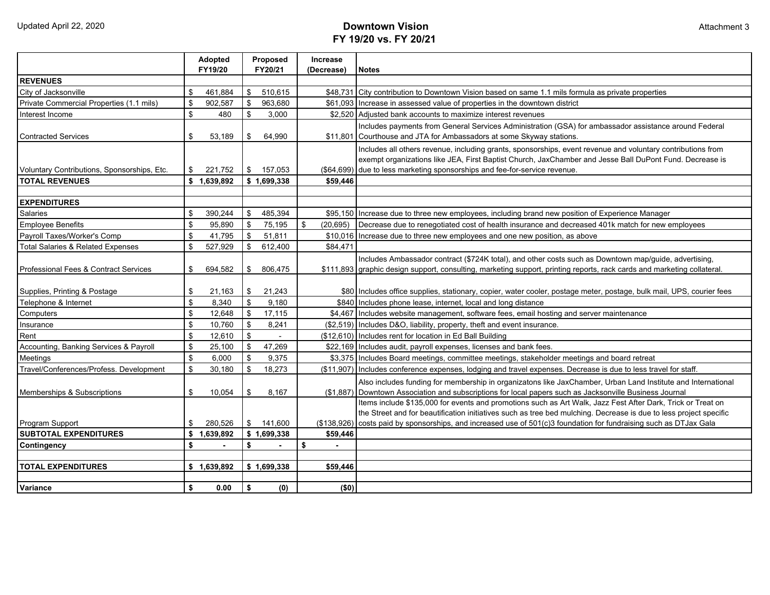# Updated April 22, 2020 **Downtown Vision FY 19/20 vs. FY 20/21**

|                                              | Adopted                          | Proposed      | <b>Increase</b> |                                                                                                                         |  |  |  |  |
|----------------------------------------------|----------------------------------|---------------|-----------------|-------------------------------------------------------------------------------------------------------------------------|--|--|--|--|
|                                              | FY19/20                          | FY20/21       | (Decrease)      | <b>Notes</b>                                                                                                            |  |  |  |  |
| <b>REVENUES</b>                              |                                  |               |                 |                                                                                                                         |  |  |  |  |
| City of Jacksonville                         | \$<br>461,884                    | \$<br>510,615 |                 | \$48,731 City contribution to Downtown Vision based on same 1.1 mils formula as private properties                      |  |  |  |  |
| Private Commercial Properties (1.1 mils)     | \$<br>902.587                    | \$<br>963.680 | \$61.093        | Increase in assessed value of properties in the downtown district                                                       |  |  |  |  |
| Interest Income                              | \$<br>480                        | \$<br>3,000   |                 | \$2,520 Adjusted bank accounts to maximize interest revenues                                                            |  |  |  |  |
|                                              |                                  |               |                 | Includes payments from General Services Administration (GSA) for ambassador assistance around Federal                   |  |  |  |  |
| <b>Contracted Services</b>                   | \$<br>53,189                     | \$<br>64,990  |                 | \$11,801 Courthouse and JTA for Ambassadors at some Skyway stations.                                                    |  |  |  |  |
|                                              |                                  |               |                 | Includes all others revenue, including grants, sponsorships, event revenue and voluntary contributions from             |  |  |  |  |
|                                              | \$                               | \$            |                 | exempt organizations like JEA, First Baptist Church, JaxChamber and Jesse Ball DuPont Fund. Decrease is                 |  |  |  |  |
| Voluntary Contributions, Sponsorships, Etc.  | 221,752                          | 157,053       |                 | (\$64,699) due to less marketing sponsorships and fee-for-service revenue.                                              |  |  |  |  |
| <b>TOTAL REVENUES</b>                        | \$1,639,892                      | \$1,699,338   | \$59,446        |                                                                                                                         |  |  |  |  |
| <b>EXPENDITURES</b>                          |                                  |               |                 |                                                                                                                         |  |  |  |  |
| <b>Salaries</b>                              | \$<br>390.244                    | \$<br>485,394 |                 | \$95,150 Increase due to three new employees, including brand new position of Experience Manager                        |  |  |  |  |
| <b>Employee Benefits</b>                     | \$<br>95,890                     | \$<br>75,195  | \$<br>(20, 695) | Decrease due to renegotiated cost of health insurance and decreased 401k match for new employees                        |  |  |  |  |
| Payroll Taxes/Worker's Comp                  | \$<br>41.795                     | \$<br>51,811  | \$10.016        | Increase due to three new employees and one new position, as above                                                      |  |  |  |  |
| <b>Total Salaries &amp; Related Expenses</b> | \$<br>527,929                    | \$<br>612,400 | \$84,471        |                                                                                                                         |  |  |  |  |
|                                              |                                  |               |                 | Includes Ambassador contract (\$724K total), and other costs such as Downtown map/guide, advertising,                   |  |  |  |  |
| Professional Fees & Contract Services        | \$<br>694,582                    | \$<br>806,475 |                 | \$111,893 graphic design support, consulting, marketing support, printing reports, rack cards and marketing collateral. |  |  |  |  |
|                                              |                                  |               |                 |                                                                                                                         |  |  |  |  |
| Supplies, Printing & Postage                 | \$<br>21,163                     | \$<br>21,243  |                 | \$80 Includes office supplies, stationary, copier, water cooler, postage meter, postage, bulk mail, UPS, courier fees   |  |  |  |  |
| Telephone & Internet                         | \$<br>8,340                      | \$<br>9,180   |                 | \$840 Includes phone lease, internet, local and long distance                                                           |  |  |  |  |
| Computers                                    | \$<br>12,648                     | \$<br>17,115  |                 | \$4,467 Includes website management, software fees, email hosting and server maintenance                                |  |  |  |  |
| Insurance                                    | \$<br>10.760                     | \$<br>8,241   |                 | (\$2,519) Includes D&O, liability, property, theft and event insurance.                                                 |  |  |  |  |
| Rent                                         | \$<br>12,610                     | \$            |                 | (\$12,610) Includes rent for location in Ed Ball Building                                                               |  |  |  |  |
| Accounting, Banking Services & Payroll       | \$<br>25,100                     | \$<br>47,269  |                 | \$22,169 Includes audit, payroll expenses, licenses and bank fees.                                                      |  |  |  |  |
| Meetings                                     | $\sqrt[6]{\frac{1}{2}}$<br>6,000 | \$<br>9,375   |                 | \$3,375 Includes Board meetings, committee meetings, stakeholder meetings and board retreat                             |  |  |  |  |
| Travel/Conferences/Profess. Development      | $\mathfrak{S}$<br>30,180         | \$<br>18,273  | (\$11,907)      | Includes conference expenses, lodging and travel expenses. Decrease is due to less travel for staff.                    |  |  |  |  |
|                                              |                                  |               |                 | Also includes funding for membership in organizatons like JaxChamber, Urban Land Institute and International            |  |  |  |  |
| Memberships & Subscriptions                  | \$<br>10,054                     | \$<br>8,167   |                 | (\$1,887) Downtown Association and subscriptions for local papers such as Jacksonville Business Journal                 |  |  |  |  |
|                                              |                                  |               |                 | Items include \$135,000 for events and promotions such as Art Walk, Jazz Fest After Dark, Trick or Treat on             |  |  |  |  |
|                                              |                                  |               |                 | the Street and for beautification initiatives such as tree bed mulching. Decrease is due to less project specific       |  |  |  |  |
| Program Support                              | \$<br>280,526                    | \$ 141,600    |                 | (\$138,926) costs paid by sponsorships, and increased use of 501(c)3 foundation for fundraising such as DTJax Gala      |  |  |  |  |
| <b>SUBTOTAL EXPENDITURES</b>                 | \$1,639,892                      | \$1,699,338   | \$59.446        |                                                                                                                         |  |  |  |  |
| Contingency                                  | \$                               | \$            | \$<br>$\sim$    |                                                                                                                         |  |  |  |  |
|                                              |                                  |               |                 |                                                                                                                         |  |  |  |  |
| <b>TOTAL EXPENDITURES</b>                    | \$1,639,892                      | \$1,699,338   | \$59,446        |                                                                                                                         |  |  |  |  |
| Variance                                     | \$<br>0.00                       | \$<br>(0)     | (50)            |                                                                                                                         |  |  |  |  |
|                                              |                                  |               |                 |                                                                                                                         |  |  |  |  |